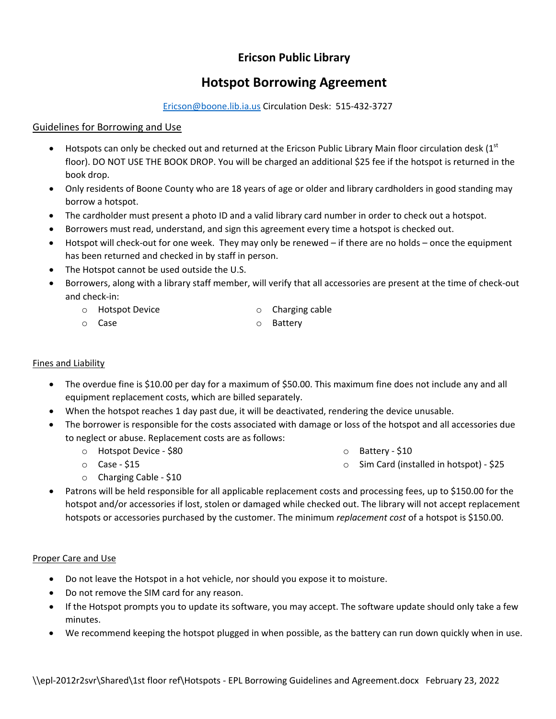# **Ericson Public Library**

# **Hotspot Borrowing Agreement**

Ericson@boone.lib.ia.us Circulation Desk: 515‐432‐3727

### Guidelines for Borrowing and Use

- $\bullet$  Hotspots can only be checked out and returned at the Ericson Public Library Main floor circulation desk (1st floor). DO NOT USE THE BOOK DROP. You will be charged an additional \$25 fee if the hotspot is returned in the book drop.
- Only residents of Boone County who are 18 years of age or older and library cardholders in good standing may borrow a hotspot.
- The cardholder must present a photo ID and a valid library card number in order to check out a hotspot.
- Borrowers must read, understand, and sign this agreement every time a hotspot is checked out.
- Hotspot will check-out for one week. They may only be renewed if there are no holds once the equipment has been returned and checked in by staff in person.
- The Hotspot cannot be used outside the U.S.
- Borrowers, along with a library staff member, will verify that all accessories are present at the time of check‐out and check‐in:

o Battery

- o Hotspot Device o Charging cable
- o Case

#### Fines and Liability

- The overdue fine is \$10.00 per day for a maximum of \$50.00. This maximum fine does not include any and all equipment replacement costs, which are billed separately.
- When the hotspot reaches 1 day past due, it will be deactivated, rendering the device unusable.
- The borrower is responsible for the costs associated with damage or loss of the hotspot and all accessories due to neglect or abuse. Replacement costs are as follows:
	- o Hotspot Device ‐ \$80

o Battery ‐ \$10

o Case ‐ \$15

- 
- o Sim Card (installed in hotspot) ‐ \$25
- o Charging Cable ‐ \$10
- Patrons will be held responsible for all applicable replacement costs and processing fees, up to \$150.00 for the hotspot and/or accessories if lost, stolen or damaged while checked out. The library will not accept replacement hotspots or accessories purchased by the customer. The minimum *replacement cost* of a hotspot is \$150.00.

#### Proper Care and Use

- Do not leave the Hotspot in a hot vehicle, nor should you expose it to moisture.
- Do not remove the SIM card for any reason.
- If the Hotspot prompts you to update its software, you may accept. The software update should only take a few minutes.
- We recommend keeping the hotspot plugged in when possible, as the battery can run down quickly when in use.